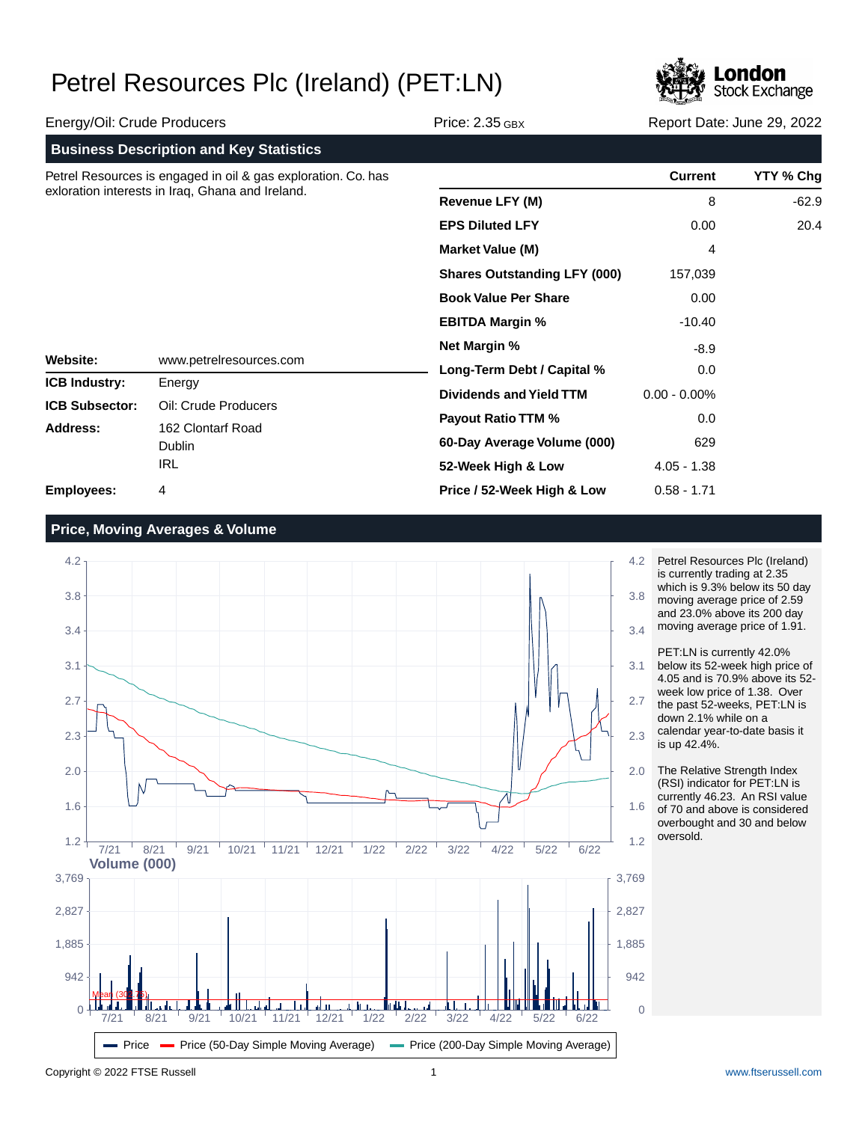

Energy/Oil: Crude Producers Price: 2.35 GBX Report Date: June 29, 2022

| $\mathsf{L}$ norgy/Oli. Orado i roddoord      |                                                               | ∧טט טט.⊾ טטוו                       | $100P$ $100P$ $100P$ |           |  |
|-----------------------------------------------|---------------------------------------------------------------|-------------------------------------|----------------------|-----------|--|
|                                               | <b>Business Description and Key Statistics</b>                |                                     |                      |           |  |
|                                               | Petrel Resources is engaged in oil & gas exploration. Co. has |                                     | <b>Current</b>       | YTY % Chg |  |
|                                               | exloration interests in Iraq, Ghana and Ireland.              | <b>Revenue LFY (M)</b>              | 8                    | $-62.9$   |  |
|                                               |                                                               | <b>EPS Diluted LFY</b>              | 0.00                 | 20.4      |  |
|                                               |                                                               | <b>Market Value (M)</b>             | 4                    |           |  |
|                                               |                                                               | <b>Shares Outstanding LFY (000)</b> | 157,039              |           |  |
| Website:<br>www.petrelresources.com           |                                                               | <b>Book Value Per Share</b>         | 0.00                 |           |  |
|                                               |                                                               | <b>EBITDA Margin %</b>              | -10.40               |           |  |
|                                               |                                                               | <b>Net Margin %</b>                 | $-8.9$               |           |  |
|                                               |                                                               | Long-Term Debt / Capital %          | 0.0                  |           |  |
| <b>ICB Industry:</b>                          | Energy                                                        | <b>Dividends and Yield TTM</b>      | $0.00 - 0.00\%$      |           |  |
| <b>ICB Subsector:</b><br>Oil: Crude Producers |                                                               |                                     |                      |           |  |
| Address:                                      | 162 Clontarf Road<br><b>Dublin</b>                            | Payout Ratio TTM %                  | 0.0                  |           |  |
|                                               |                                                               | 60-Day Average Volume (000)         | 629                  |           |  |
|                                               | <b>IRL</b>                                                    | 52-Week High & Low                  | $4.05 - 1.38$        |           |  |
| <b>Employees:</b>                             | 4                                                             | Price / 52-Week High & Low          | $0.58 - 1.71$        |           |  |

#### **Price, Moving Averages & Volume**



Petrel Resources Plc (Ireland) is currently trading at 2.35 which is 9.3% below its 50 day moving average price of 2.59 and 23.0% above its 200 day moving average price of 1.91.

PET:LN is currently 42.0% below its 52-week high price of 4.05 and is 70.9% above its 52 week low price of 1.38. Over the past 52-weeks, PET:LN is down 2.1% while on a calendar year-to-date basis it is up 42.4%.

The Relative Strength Index (RSI) indicator for PET:LN is currently 46.23. An RSI value of 70 and above is considered overbought and 30 and below oversold.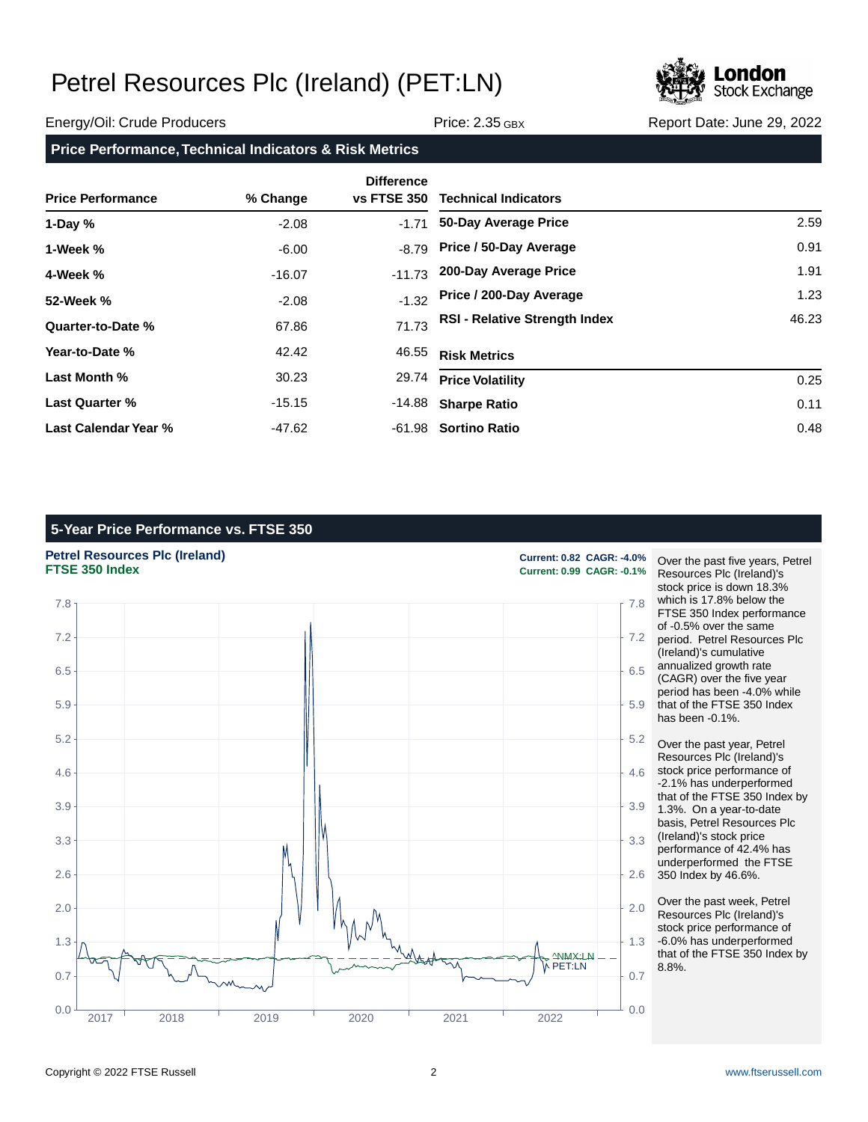

#### Energy/Oil: Crude Producers Price: 2.35 GBX Report Date: June 29, 2022

| <b>Price Performance</b> | % Change | <b>Difference</b><br><b>vs FTSE 350</b> | <b>Technical Indicators</b>          |       |
|--------------------------|----------|-----------------------------------------|--------------------------------------|-------|
| 1-Day $%$                | $-2.08$  | $-1.71$                                 | 50-Day Average Price                 | 2.59  |
| 1-Week %                 | $-6.00$  | $-8.79$                                 | Price / 50-Day Average               | 0.91  |
| 4-Week %                 | $-16.07$ | $-11.73$                                | 200-Day Average Price                | 1.91  |
| 52-Week %                | $-2.08$  | $-1.32$                                 | Price / 200-Day Average              | 1.23  |
| Quarter-to-Date %        | 67.86    | 71.73                                   | <b>RSI - Relative Strength Index</b> | 46.23 |
| Year-to-Date %           | 42.42    | 46.55                                   | <b>Risk Metrics</b>                  |       |
| Last Month %             | 30.23    | 29.74                                   | <b>Price Volatility</b>              | 0.25  |
| <b>Last Quarter %</b>    | $-15.15$ | -14.88                                  | <b>Sharpe Ratio</b>                  | 0.11  |
| Last Calendar Year %     | -47.62   |                                         | -61.98 Sortino Ratio                 | 0.48  |

### **5-Year Price Performance vs. FTSE 350**

# **Petrel Resources Plc (Ireland) Current: 0.82 CAGR: -4.0% Current: 0.82 CAGR: -4.0% Current: 0.99 CAGR: -0.1%**



**FTSE 350 Index Current: 0.99 CAGR: -0.1%**

Over the past five years, Petrel Resources Plc (Ireland)'s stock price is down 18.3% which is 17.8% below the FTSE 350 Index performance of -0.5% over the same period. Petrel Resources Plc (Ireland)'s cumulative annualized growth rate (CAGR) over the five year period has been -4.0% while that of the FTSE 350 Index has been -0.1%.

Over the past year, Petrel Resources Plc (Ireland)'s stock price performance of -2.1% has underperformed that of the FTSE 350 Index by 1.3%. On a year-to-date basis, Petrel Resources Plc (Ireland)'s stock price performance of 42.4% has underperformed the FTSE 350 Index by 46.6%.

Over the past week, Petrel Resources Plc (Ireland)'s stock price performance of -6.0% has underperformed that of the FTSE 350 Index by 8.8%.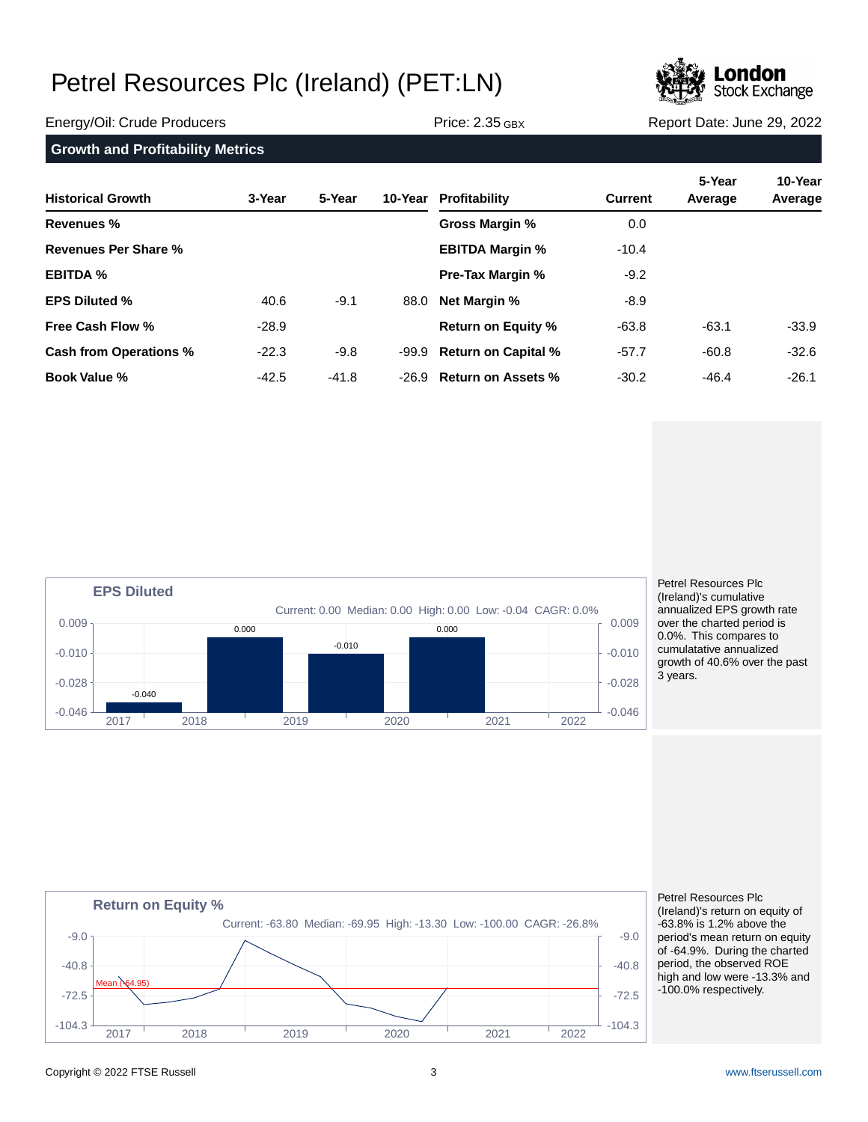

### Energy/Oil: Crude Producers **Price: 2.35 GBX** Price: 2.35 GBX Report Date: June 29, 2022 **Growth and Profitability Metrics**

| <b>Historical Growth</b> | 3-Year  | 5-Year  |      | 10-Year Profitability     | <b>Current</b> | 5-Year<br>Average | 10-Year<br>Average |
|--------------------------|---------|---------|------|---------------------------|----------------|-------------------|--------------------|
| <b>Revenues %</b>        |         |         |      | Gross Margin %            | 0.0            |                   |                    |
| Revenues Per Share %     |         |         |      | <b>EBITDA Margin %</b>    | $-10.4$        |                   |                    |
| <b>EBITDA %</b>          |         |         |      | <b>Pre-Tax Margin %</b>   | $-9.2$         |                   |                    |
| <b>EPS Diluted %</b>     | 40.6    | $-9.1$  | 88.0 | <b>Net Margin %</b>       | -8.9           |                   |                    |
| <b>Free Cash Flow %</b>  | $-28.9$ |         |      | <b>Return on Equity %</b> | $-63.8$        | $-63.1$           | $-33.9$            |
| Cash from Operations %   | $-22.3$ | $-9.8$  |      | -99.9 Return on Capital % | $-57.7$        | $-60.8$           | $-32.6$            |
| <b>Book Value %</b>      | $-42.5$ | $-41.8$ |      | -26.9 Return on Assets %  | $-30.2$        | $-46.4$           | $-26.1$            |



Petrel Resources Plc (Ireland)'s cumulative annualized EPS growth rate over the charted period is 0.0%. This compares to cumulatative annualized growth of 40.6% over the past 3 years.



Petrel Resources Plc (Ireland)'s return on equity of -63.8% is 1.2% above the period's mean return on equity of -64.9%. During the charted period, the observed ROE high and low were -13.3% and -100.0% respectively.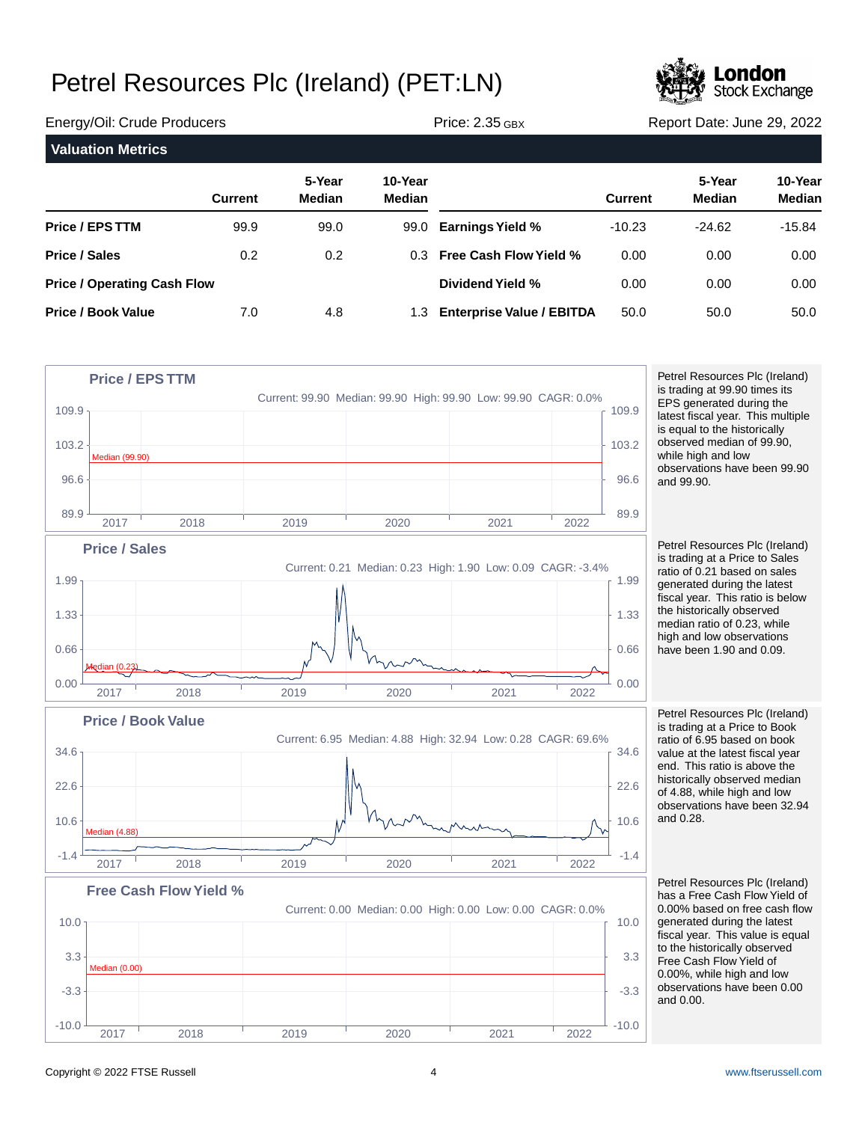

| Energy/Oil: Crude Producers        |                |                         | Price: $2.35$ GBX        |                                  | Report Date: June 29, 2022 |                  |                          |
|------------------------------------|----------------|-------------------------|--------------------------|----------------------------------|----------------------------|------------------|--------------------------|
| <b>Valuation Metrics</b>           |                |                         |                          |                                  |                            |                  |                          |
|                                    | <b>Current</b> | 5-Year<br><b>Median</b> | 10-Year<br><b>Median</b> |                                  | <b>Current</b>             | 5-Year<br>Median | 10-Year<br><b>Median</b> |
| Price / EPS TTM                    | 99.9           | 99.0                    | 99.0                     | <b>Earnings Yield %</b>          | $-10.23$                   | $-24.62$         | $-15.84$                 |
| <b>Price / Sales</b>               | 0.2            | 0.2                     |                          | 0.3 Free Cash Flow Yield %       | 0.00                       | 0.00             | 0.00                     |
| <b>Price / Operating Cash Flow</b> |                |                         |                          | Dividend Yield %                 | 0.00                       | 0.00             | 0.00                     |
| <b>Price / Book Value</b>          | 7.0            | 4.8                     | 1.3                      | <b>Enterprise Value / EBITDA</b> | 50.0                       | 50.0             | 50.0                     |





Petrel Resources Plc (Ireland) has a Free Cash Flow Yield of 0.00% based on free cash flow generated during the latest fiscal year. This value is equal to the historically observed Free Cash Flow Yield of 0.00%, while high and low observations have been 0.00 and 0.00.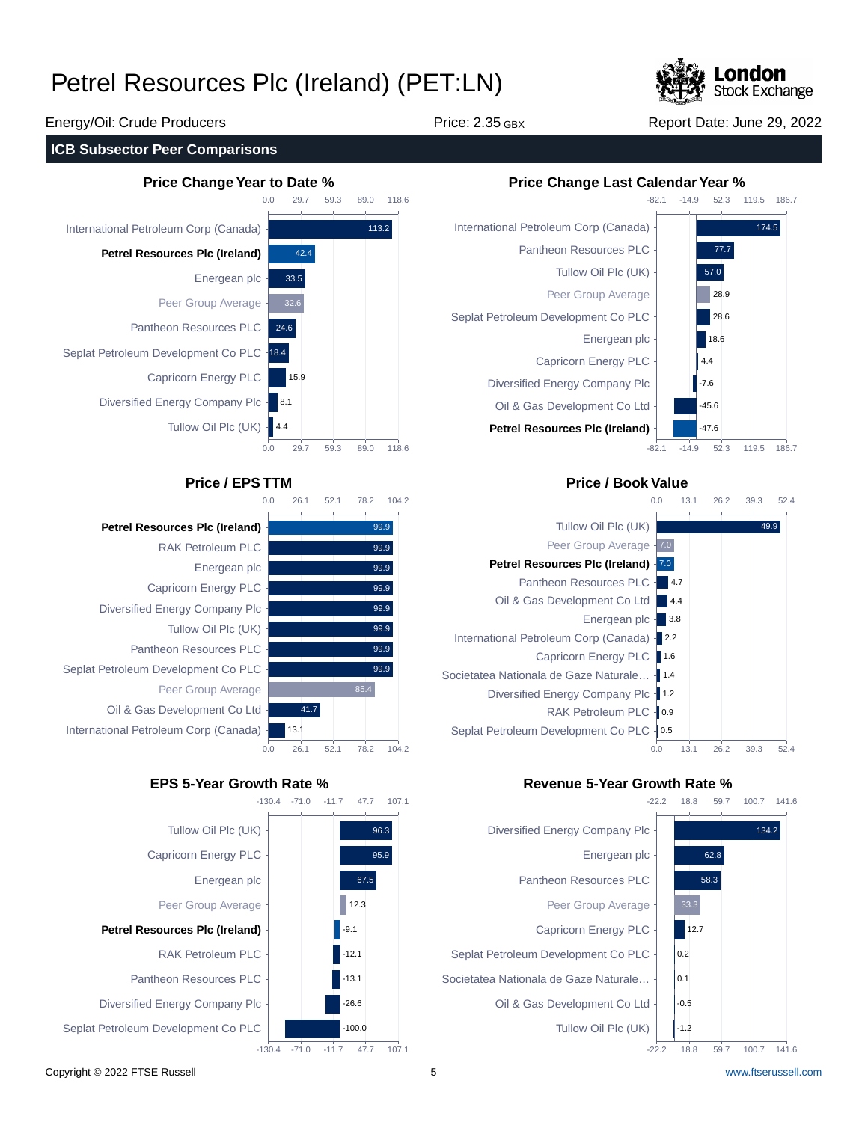

#### Energy/Oil: Crude Producers Price: 2.35 GBX Report Date: June 29, 2022

#### **ICB Subsector Peer Comparisons**





|                                         | 0.0 | 26.1 | 52.1 | 78.2 | 104.2 |
|-----------------------------------------|-----|------|------|------|-------|
|                                         |     |      |      |      | 99.9  |
| <b>Petrel Resources Plc (Ireland)</b>   |     |      |      |      |       |
| <b>RAK Petroleum PLC -</b>              |     |      |      |      | 99.9  |
| Energean plc -                          |     |      |      |      | 99.9  |
| Capricorn Energy PLC -                  |     |      |      |      | 99.9  |
| Diversified Energy Company Plc -        |     |      |      |      | 99.9  |
| Tullow Oil Plc (UK) -                   |     |      |      |      | 99.9  |
| Pantheon Resources PLC -                |     |      |      |      | 99.9  |
| Seplat Petroleum Development Co PLC -   |     |      |      |      | 99.9  |
| Peer Group Average ·                    |     |      |      | 85.4 |       |
| Oil & Gas Development Co Ltd -          |     | 41.7 |      |      |       |
| International Petroleum Corp (Canada) - |     | 13.1 |      |      |       |
|                                         | 0.0 | 26.1 | 52.1 | 78.2 | 104.2 |



#### **Price Change Year to Date % Price Change Last Calendar Year %**



#### **Price / EPS TTM Price / Book Value**



#### **EPS 5-Year Growth Rate % Revenue 5-Year Growth Rate %**

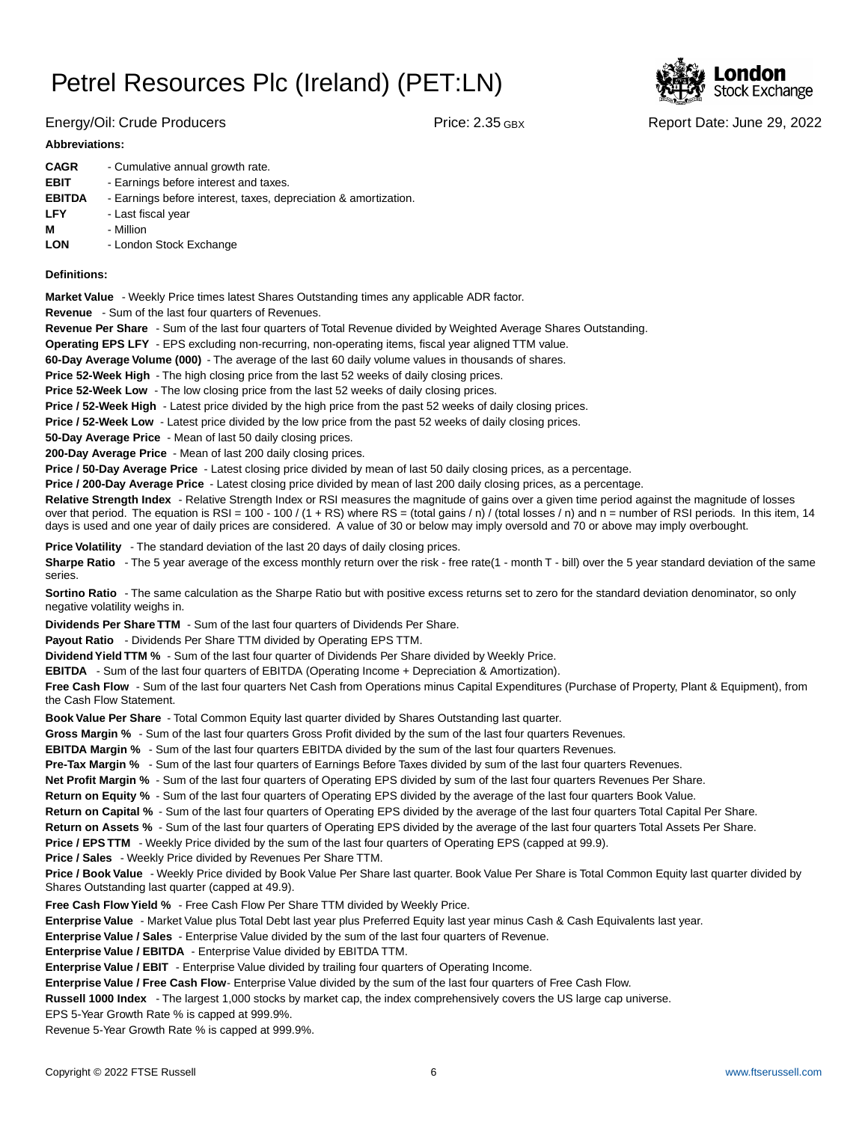

Energy/Oil: Crude Producers Price: 2.35 GBX Report Date: June 29, 2022

#### **Abbreviations:**

| <b>CAGR</b>   | - Cumulative annual growth rate.                                |
|---------------|-----------------------------------------------------------------|
| <b>EBIT</b>   | - Earnings before interest and taxes.                           |
| <b>EBITDA</b> | - Earnings before interest, taxes, depreciation & amortization. |
| <b>LFY</b>    | - Last fiscal year                                              |
| М             | - Million                                                       |
| <b>LON</b>    | - London Stock Exchange                                         |

#### **Definitions:**

**Market Value** - Weekly Price times latest Shares Outstanding times any applicable ADR factor.

**Revenue** - Sum of the last four quarters of Revenues.

**Revenue Per Share** - Sum of the last four quarters of Total Revenue divided by Weighted Average Shares Outstanding.

**Operating EPS LFY** - EPS excluding non-recurring, non-operating items, fiscal year aligned TTM value.

60-Day Average Volume (000) - The average of the last 60 daily volume values in thousands of shares.

**Price 52-Week High** - The high closing price from the last 52 weeks of daily closing prices.

**Price 52-Week Low** - The low closing price from the last 52 weeks of daily closing prices.

**Price / 52-Week High** - Latest price divided by the high price from the past 52 weeks of daily closing prices.

**Price / 52-Week Low** - Latest price divided by the low price from the past 52 weeks of daily closing prices.

**50-Day Average Price** - Mean of last 50 daily closing prices.

**200-Day Average Price** - Mean of last 200 daily closing prices.

Price / 50-Day Average Price - Latest closing price divided by mean of last 50 daily closing prices, as a percentage.

**Price / 200-Day Average Price** - Latest closing price divided by mean of last 200 daily closing prices, as a percentage.

Relative Strength Index - Relative Strength Index or RSI measures the magnitude of gains over a given time period against the magnitude of losses over that period. The equation is RSI = 100 - 100 / (1 + RS) where RS = (total gains / n) / (total losses / n) and n = number of RSI periods. In this item, 14 days is used and one year of daily prices are considered. A value of 30 or below may imply oversold and 70 or above may imply overbought.

**Price Volatility** - The standard deviation of the last 20 days of daily closing prices.

Sharpe Ratio - The 5 year average of the excess monthly return over the risk - free rate(1 - month T - bill) over the 5 year standard deviation of the same series.

**Sortino Ratio** - The same calculation as the Sharpe Ratio but with positive excess returns set to zero for the standard deviation denominator, so only negative volatility weighs in.

**Dividends Per Share TTM** - Sum of the last four quarters of Dividends Per Share.

Payout Ratio - Dividends Per Share TTM divided by Operating EPS TTM.

**Dividend Yield TTM %** - Sum of the last four quarter of Dividends Per Share divided by Weekly Price.

**EBITDA** - Sum of the last four quarters of EBITDA (Operating Income + Depreciation & Amortization).

**Free Cash Flow** - Sum of the last four quarters Net Cash from Operations minus Capital Expenditures (Purchase of Property, Plant & Equipment), from the Cash Flow Statement.

**Book Value Per Share** - Total Common Equity last quarter divided by Shares Outstanding last quarter.

**Gross Margin %** - Sum of the last four quarters Gross Profit divided by the sum of the last four quarters Revenues.

**EBITDA Margin %** - Sum of the last four quarters EBITDA divided by the sum of the last four quarters Revenues.

**Pre-Tax Margin %** - Sum of the last four quarters of Earnings Before Taxes divided by sum of the last four quarters Revenues.

**Net Profit Margin %** - Sum of the last four quarters of Operating EPS divided by sum of the last four quarters Revenues Per Share.

**Return on Equity %** - Sum of the last four quarters of Operating EPS divided by the average of the last four quarters Book Value.

**Return on Capital %** - Sum of the last four quarters of Operating EPS divided by the average of the last four quarters Total Capital Per Share.

**Return on Assets %** - Sum of the last four quarters of Operating EPS divided by the average of the last four quarters Total Assets Per Share.

**Price / EPS TTM** - Weekly Price divided by the sum of the last four quarters of Operating EPS (capped at 99.9).

**Price / Sales** - Weekly Price divided by Revenues Per Share TTM.

**Price / Book Value** - Weekly Price divided by Book Value Per Share last quarter. Book Value Per Share is Total Common Equity last quarter divided by Shares Outstanding last quarter (capped at 49.9).

**Free Cash Flow Yield %** - Free Cash Flow Per Share TTM divided by Weekly Price.

Enterprise Value - Market Value plus Total Debt last year plus Preferred Equity last year minus Cash & Cash Equivalents last year.

**Enterprise Value / Sales** - Enterprise Value divided by the sum of the last four quarters of Revenue.

**Enterprise Value / EBITDA** - Enterprise Value divided by EBITDA TTM.

**Enterprise Value / EBIT** - Enterprise Value divided by trailing four quarters of Operating Income.

Enterprise Value / Free Cash Flow- Enterprise Value divided by the sum of the last four quarters of Free Cash Flow.

**Russell 1000 Index** - The largest 1,000 stocks by market cap, the index comprehensively covers the US large cap universe.

EPS 5-Year Growth Rate % is capped at 999.9%.

Revenue 5-Year Growth Rate % is capped at 999.9%.